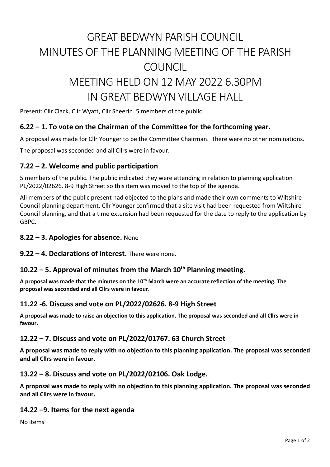# GREAT BEDWYN PARISH COUNCIL MINUTES OF THE PLANNING MEETING OF THE PARISH **COUNCIL** MEETING HELD ON 12 MAY 2022 6.30PM

## IN GREAT BEDWYN VILLAGE HALL

Present: Cllr Clack, Cllr Wyatt, Cllr Sheerin. 5 members of the public

### **6.22 – 1. To vote on the Chairman of the Committee for the forthcoming year.**

A proposal was made for Cllr Younger to be the Committee Chairman. There were no other nominations.

The proposal was seconded and all Cllrs were in favour.

#### **7.22 – 2. Welcome and public participation**

5 members of the public. The public indicated they were attending in relation to planning application PL/2022/02626. 8-9 High Street so this item was moved to the top of the agenda.

All members of the public present had objected to the plans and made their own comments to Wiltshire Council planning department. Cllr Younger confirmed that a site visit had been requested from Wiltshire Council planning, and that a time extension had been requested for the date to reply to the application by GBPC.

#### **8.22 – 3. Apologies for absence.** None

**9.22 – 4. Declarations of interest.** There were none.

#### **10.22 – 5. Approval of minutes from the March 10th Planning meeting.**

**A proposal was made that the minutes on the 10th March were an accurate reflection of the meeting. The proposal was seconded and all Cllrs were in favour.**

#### **11.22 -6. Discuss and vote on PL/2022/02626. 8-9 High Street**

**A proposal was made to raise an objection to this application. The proposal was seconded and all Cllrs were in favour.**

#### **12.22 – 7. Discuss and vote on PL/2022/01767. 63 Church Street**

**A proposal was made to reply with no objection to this planning application. The proposal was seconded and all Cllrs were in favour.**

#### **13.22 – 8. Discuss and vote on PL/2022/02106. Oak Lodge.**

**A proposal was made to reply with no objection to this planning application. The proposal was seconded and all Cllrs were in favour.**

#### **14.22 –9. Items for the next agenda**

No items